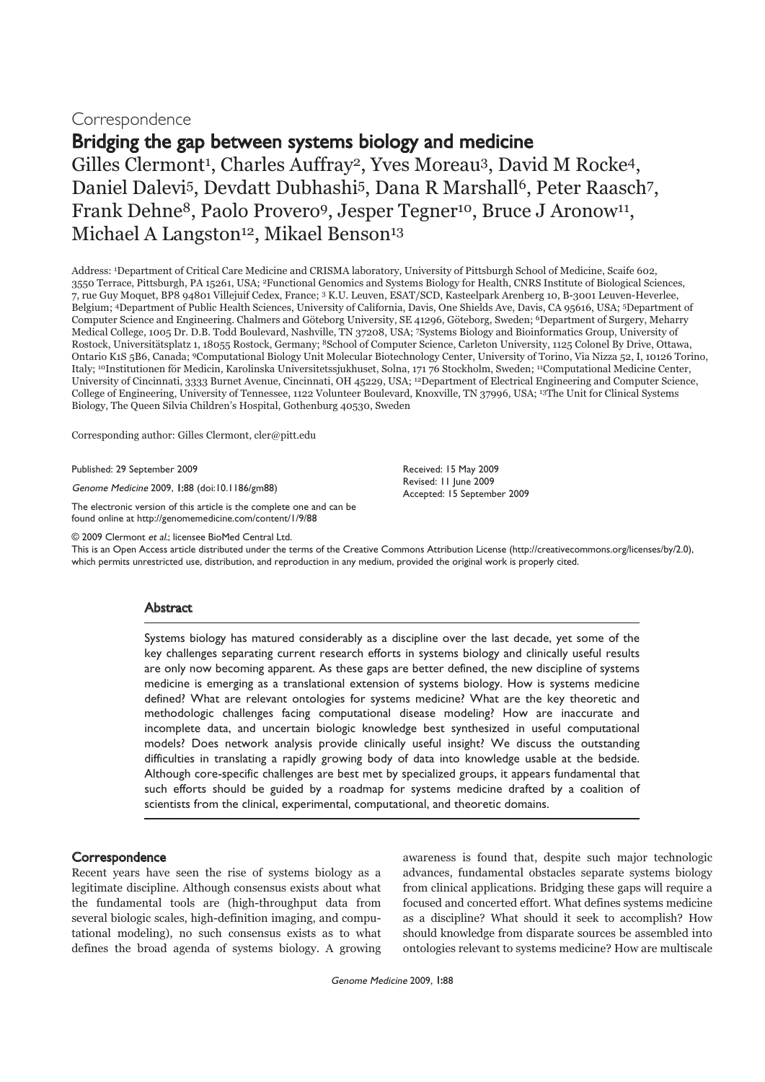# Correspondence

Bridging the gap between systems biology and medicine

Gilles Clermont<sup>1</sup>, Charles Auffray<sup>2</sup>, Yves Moreau<sup>3</sup>, David M Rocke<sup>4</sup>, Daniel Dalevi<sup>5</sup>, Devdatt Dubhashi<sup>5</sup>, Dana R Marshall<sup>6</sup>, Peter Raasch<sup>7</sup>, Frank Dehne<sup>8</sup>, Paolo Provero<sup>9</sup>, Jesper Tegner<sup>10</sup>, Bruce J Aronow<sup>11</sup>, Michael A Langston<sup>12</sup>, Mikael Benson<sup>13</sup>

Address: 1Department of Critical Care Medicine and CRISMA laboratory, University of Pittsburgh School of Medicine, Scaife 602, 3550 Terrace, Pittsburgh, PA 15261, USA; 2Functional Genomics and Systems Biology for Health, CNRS Institute of Biological Sciences, 7, rue Guy Moquet, BP8 94801 Villejuif Cedex, France; 3 K.U. Leuven, ESAT/SCD, Kasteelpark Arenberg 10, B-3001 Leuven-Heverlee, Belgium; 4Department of Public Health Sciences, University of California, Davis, One Shields Ave, Davis, CA 95616, USA; 5Department of Computer Science and Engineering. Chalmers and Göteborg University, SE 41296, Göteborg, Sweden; 6Department of Surgery, Meharry Medical College, 1005 Dr. D.B. Todd Boulevard, Nashville, TN 37208, USA; 7Systems Biology and Bioinformatics Group, University of Rostock, Universitätsplatz 1, 18055 Rostock, Germany; 8School of Computer Science, Carleton University, 1125 Colonel By Drive, Ottawa, Ontario K1S 5B6, Canada; 9Computational Biology Unit Molecular Biotechnology Center, University of Torino, Via Nizza 52, I, 10126 Torino, Italy; 10Institutionen för Medicin, Karolinska Universitetssjukhuset, Solna, 171 76 Stockholm, Sweden; 11Computational Medicine Center, University of Cincinnati, 3333 Burnet Avenue, Cincinnati, OH 45229, USA; 12Department of Electrical Engineering and Computer Science, College of Engineering, University of Tennessee, 1122 Volunteer Boulevard, Knoxville, TN 37996, USA; 13The Unit for Clinical Systems Biology, The Queen Silvia Children's Hospital, Gothenburg 40530, Sweden

Corresponding author: Gilles Clermont, cler@pitt.edu

Published: 29 September 2009

Genome Medicine 2009, 1:88 (doi:10.1186/gm88)

The electronic version of this article is the complete one and can be found online at http://genomemedicine.com/content/1/9/88

© 2009 Clermont et al.; licensee BioMed Central Ltd.

This is an Open Access article distributed under the terms of the Creative Commons Attribution License (http://creativecommons.org/licenses/by/2.0), which permits unrestricted use, distribution, and reproduction in any medium, provided the original work is properly cited.

# **Abstract**

Systems biology has matured considerably as a discipline over the last decade, yet some of the key challenges separating current research efforts in systems biology and clinically useful results are only now becoming apparent. As these gaps are better defined, the new discipline of systems medicine is emerging as a translational extension of systems biology. How is systems medicine defined? What are relevant ontologies for systems medicine? What are the key theoretic and methodologic challenges facing computational disease modeling? How are inaccurate and incomplete data, and uncertain biologic knowledge best synthesized in useful computational models? Does network analysis provide clinically useful insight? We discuss the outstanding difficulties in translating a rapidly growing body of data into knowledge usable at the bedside. Although core-specific challenges are best met by specialized groups, it appears fundamental that such efforts should be guided by a roadmap for systems medicine drafted by a coalition of scientists from the clinical, experimental, computational, and theoretic domains.

# **Correspondence**

Recent years have seen the rise of systems biology as a legitimate discipline. Although consensus exists about what the fundamental tools are (high-throughput data from several biologic scales, high-definition imaging, and computational modeling), no such consensus exists as to what defines the broad agenda of systems biology. A growing

awareness is found that, despite such major technologic advances, fundamental obstacles separate systems biology from clinical applications. Bridging these gaps will require a focused and concerted effort. What defines systems medicine as a discipline? What should it seek to accomplish? How should knowledge from disparate sources be assembled into ontologies relevant to systems medicine? How are multiscale

Received: 15 May 2009 Revised: 11 June 2009 Accepted: 15 September 2009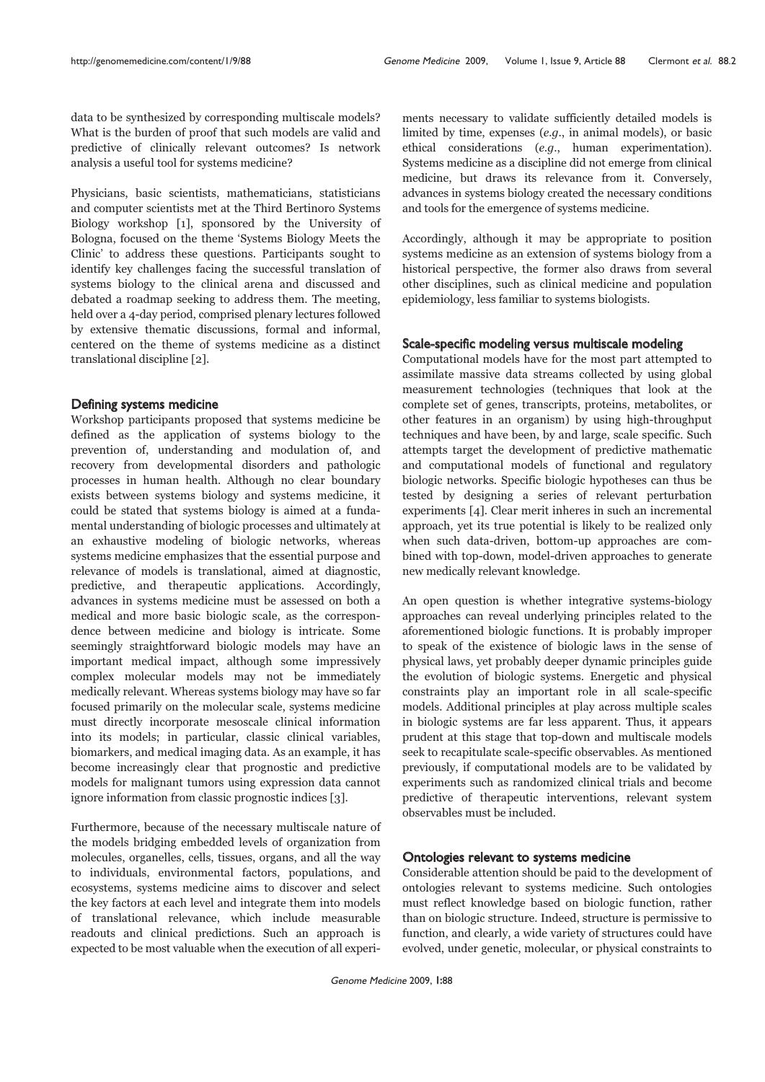data to be synthesized by corresponding multiscale models? What is the burden of proof that such models are valid and predictive of clinically relevant outcomes? Is network analysis a useful tool for systems medicine?

Physicians, basic scientists, mathematicians, statisticians and computer scientists met at the Third Bertinoro Systems Biology workshop [1], sponsored by the University of Bologna, focused on the theme 'Systems Biology Meets the Clinic' to address these questions. Participants sought to identify key challenges facing the successful translation of systems biology to the clinical arena and discussed and debated a roadmap seeking to address them. The meeting, held over a 4-day period, comprised plenary lectures followed by extensive thematic discussions, formal and informal, centered on the theme of systems medicine as a distinct translational discipline [2].

### Defining systems medicine

Workshop participants proposed that systems medicine be defined as the application of systems biology to the prevention of, understanding and modulation of, and recovery from developmental disorders and pathologic processes in human health. Although no clear boundary exists between systems biology and systems medicine, it could be stated that systems biology is aimed at a fundamental understanding of biologic processes and ultimately at an exhaustive modeling of biologic networks, whereas systems medicine emphasizes that the essential purpose and relevance of models is translational, aimed at diagnostic, predictive, and therapeutic applications. Accordingly, advances in systems medicine must be assessed on both a medical and more basic biologic scale, as the correspondence between medicine and biology is intricate. Some seemingly straightforward biologic models may have an important medical impact, although some impressively complex molecular models may not be immediately medically relevant. Whereas systems biology may have so far focused primarily on the molecular scale, systems medicine must directly incorporate mesoscale clinical information into its models; in particular, classic clinical variables, biomarkers, and medical imaging data. As an example, it has become increasingly clear that prognostic and predictive models for malignant tumors using expression data cannot ignore information from classic prognostic indices [3].

Furthermore, because of the necessary multiscale nature of the models bridging embedded levels of organization from molecules, organelles, cells, tissues, organs, and all the way to individuals, environmental factors, populations, and ecosystems, systems medicine aims to discover and select the key factors at each level and integrate them into models of translational relevance, which include measurable readouts and clinical predictions. Such an approach is expected to be most valuable when the execution of all experi-

ments necessary to validate sufficiently detailed models is limited by time, expenses (e.g., in animal models), or basic ethical considerations (e.g., human experimentation). Systems medicine as a discipline did not emerge from clinical medicine, but draws its relevance from it. Conversely, advances in systems biology created the necessary conditions and tools for the emergence of systems medicine.

Accordingly, although it may be appropriate to position systems medicine as an extension of systems biology from a historical perspective, the former also draws from several other disciplines, such as clinical medicine and population epidemiology, less familiar to systems biologists.

# Scale-specific modeling versus multiscale modeling

Computational models have for the most part attempted to assimilate massive data streams collected by using global measurement technologies (techniques that look at the complete set of genes, transcripts, proteins, metabolites, or other features in an organism) by using high-throughput techniques and have been, by and large, scale specific. Such attempts target the development of predictive mathematic and computational models of functional and regulatory biologic networks. Specific biologic hypotheses can thus be tested by designing a series of relevant perturbation experiments [4]. Clear merit inheres in such an incremental approach, yet its true potential is likely to be realized only when such data-driven, bottom-up approaches are combined with top-down, model-driven approaches to generate new medically relevant knowledge.

An open question is whether integrative systems-biology approaches can reveal underlying principles related to the aforementioned biologic functions. It is probably improper to speak of the existence of biologic laws in the sense of physical laws, yet probably deeper dynamic principles guide the evolution of biologic systems. Energetic and physical constraints play an important role in all scale-specific models. Additional principles at play across multiple scales in biologic systems are far less apparent. Thus, it appears prudent at this stage that top-down and multiscale models seek to recapitulate scale-specific observables. As mentioned previously, if computational models are to be validated by experiments such as randomized clinical trials and become predictive of therapeutic interventions, relevant system observables must be included.

#### Ontologies relevant to systems medicine

Considerable attention should be paid to the development of ontologies relevant to systems medicine. Such ontologies must reflect knowledge based on biologic function, rather than on biologic structure. Indeed, structure is permissive to function, and clearly, a wide variety of structures could have evolved, under genetic, molecular, or physical constraints to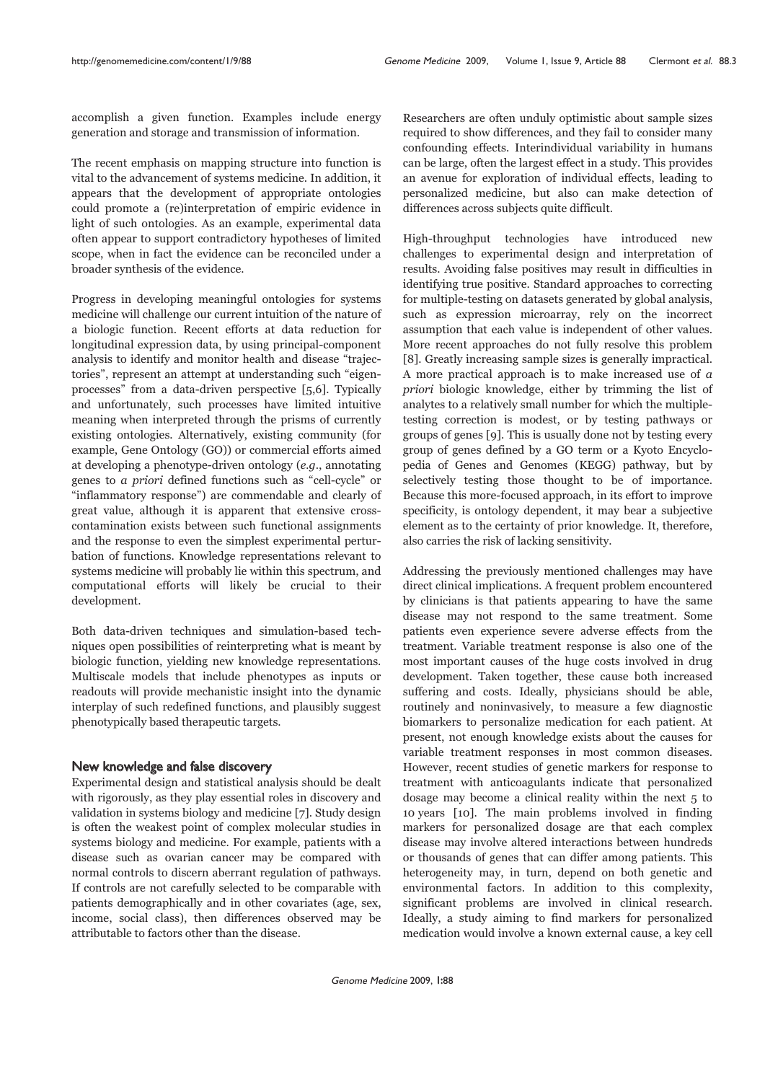accomplish a given function. Examples include energy generation and storage and transmission of information.

The recent emphasis on mapping structure into function is vital to the advancement of systems medicine. In addition, it appears that the development of appropriate ontologies could promote a (re)interpretation of empiric evidence in light of such ontologies. As an example, experimental data often appear to support contradictory hypotheses of limited scope, when in fact the evidence can be reconciled under a broader synthesis of the evidence.

Progress in developing meaningful ontologies for systems medicine will challenge our current intuition of the nature of a biologic function. Recent efforts at data reduction for longitudinal expression data, by using principal-component analysis to identify and monitor health and disease "trajectories", represent an attempt at understanding such "eigenprocesses" from a data-driven perspective [5,6]. Typically and unfortunately, such processes have limited intuitive meaning when interpreted through the prisms of currently existing ontologies. Alternatively, existing community (for example, Gene Ontology (GO)) or commercial efforts aimed at developing a phenotype-driven ontology (e.g., annotating genes to a priori defined functions such as "cell-cycle" or "inflammatory response") are commendable and clearly of great value, although it is apparent that extensive crosscontamination exists between such functional assignments and the response to even the simplest experimental perturbation of functions. Knowledge representations relevant to systems medicine will probably lie within this spectrum, and computational efforts will likely be crucial to their development.

Both data-driven techniques and simulation-based techniques open possibilities of reinterpreting what is meant by biologic function, yielding new knowledge representations. Multiscale models that include phenotypes as inputs or readouts will provide mechanistic insight into the dynamic interplay of such redefined functions, and plausibly suggest phenotypically based therapeutic targets.

# New knowledge and false discovery

Experimental design and statistical analysis should be dealt with rigorously, as they play essential roles in discovery and validation in systems biology and medicine [7]. Study design is often the weakest point of complex molecular studies in systems biology and medicine. For example, patients with a disease such as ovarian cancer may be compared with normal controls to discern aberrant regulation of pathways. If controls are not carefully selected to be comparable with patients demographically and in other covariates (age, sex, income, social class), then differences observed may be attributable to factors other than the disease.

Researchers are often unduly optimistic about sample sizes required to show differences, and they fail to consider many confounding effects. Interindividual variability in humans can be large, often the largest effect in a study. This provides an avenue for exploration of individual effects, leading to personalized medicine, but also can make detection of differences across subjects quite difficult.

High-throughput technologies have introduced new challenges to experimental design and interpretation of results. Avoiding false positives may result in difficulties in identifying true positive. Standard approaches to correcting for multiple-testing on datasets generated by global analysis, such as expression microarray, rely on the incorrect assumption that each value is independent of other values. More recent approaches do not fully resolve this problem [8]. Greatly increasing sample sizes is generally impractical. A more practical approach is to make increased use of a priori biologic knowledge, either by trimming the list of analytes to a relatively small number for which the multipletesting correction is modest, or by testing pathways or groups of genes [9]. This is usually done not by testing every group of genes defined by a GO term or a Kyoto Encyclopedia of Genes and Genomes (KEGG) pathway, but by selectively testing those thought to be of importance. Because this more-focused approach, in its effort to improve specificity, is ontology dependent, it may bear a subjective element as to the certainty of prior knowledge. It, therefore, also carries the risk of lacking sensitivity.

Addressing the previously mentioned challenges may have direct clinical implications. A frequent problem encountered by clinicians is that patients appearing to have the same disease may not respond to the same treatment. Some patients even experience severe adverse effects from the treatment. Variable treatment response is also one of the most important causes of the huge costs involved in drug development. Taken together, these cause both increased suffering and costs. Ideally, physicians should be able, routinely and noninvasively, to measure a few diagnostic biomarkers to personalize medication for each patient. At present, not enough knowledge exists about the causes for variable treatment responses in most common diseases. However, recent studies of genetic markers for response to treatment with anticoagulants indicate that personalized dosage may become a clinical reality within the next 5 to 10 years [10]. The main problems involved in finding markers for personalized dosage are that each complex disease may involve altered interactions between hundreds or thousands of genes that can differ among patients. This heterogeneity may, in turn, depend on both genetic and environmental factors. In addition to this complexity, significant problems are involved in clinical research. Ideally, a study aiming to find markers for personalized medication would involve a known external cause, a key cell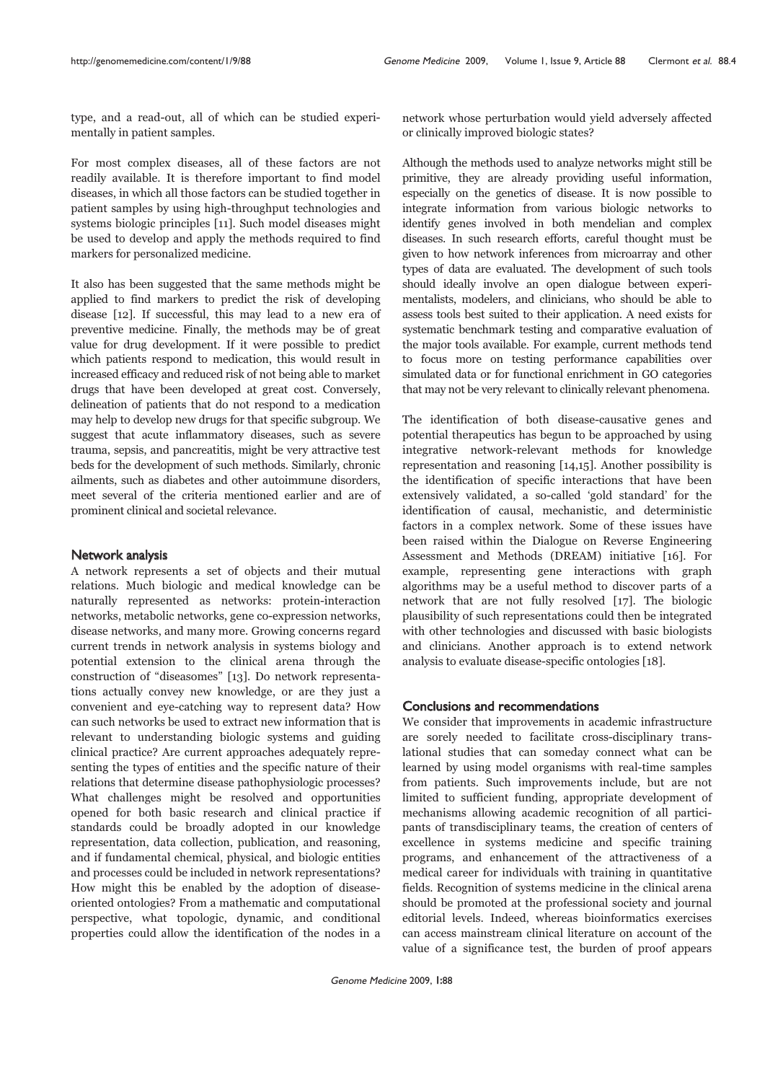type, and a read-out, all of which can be studied experimentally in patient samples.

For most complex diseases, all of these factors are not readily available. It is therefore important to find model diseases, in which all those factors can be studied together in patient samples by using high-throughput technologies and systems biologic principles [11]. Such model diseases might be used to develop and apply the methods required to find markers for personalized medicine.

It also has been suggested that the same methods might be applied to find markers to predict the risk of developing disease [12]. If successful, this may lead to a new era of preventive medicine. Finally, the methods may be of great value for drug development. If it were possible to predict which patients respond to medication, this would result in increased efficacy and reduced risk of not being able to market drugs that have been developed at great cost. Conversely, delineation of patients that do not respond to a medication may help to develop new drugs for that specific subgroup. We suggest that acute inflammatory diseases, such as severe trauma, sepsis, and pancreatitis, might be very attractive test beds for the development of such methods. Similarly, chronic ailments, such as diabetes and other autoimmune disorders, meet several of the criteria mentioned earlier and are of prominent clinical and societal relevance.

# Network analysis

A network represents a set of objects and their mutual relations. Much biologic and medical knowledge can be naturally represented as networks: protein-interaction networks, metabolic networks, gene co-expression networks, disease networks, and many more. Growing concerns regard current trends in network analysis in systems biology and potential extension to the clinical arena through the construction of "diseasomes" [13]. Do network representations actually convey new knowledge, or are they just a convenient and eye-catching way to represent data? How can such networks be used to extract new information that is relevant to understanding biologic systems and guiding clinical practice? Are current approaches adequately representing the types of entities and the specific nature of their relations that determine disease pathophysiologic processes? What challenges might be resolved and opportunities opened for both basic research and clinical practice if standards could be broadly adopted in our knowledge representation, data collection, publication, and reasoning, and if fundamental chemical, physical, and biologic entities and processes could be included in network representations? How might this be enabled by the adoption of diseaseoriented ontologies? From a mathematic and computational perspective, what topologic, dynamic, and conditional properties could allow the identification of the nodes in a

network whose perturbation would yield adversely affected or clinically improved biologic states?

Although the methods used to analyze networks might still be primitive, they are already providing useful information, especially on the genetics of disease. It is now possible to integrate information from various biologic networks to identify genes involved in both mendelian and complex diseases. In such research efforts, careful thought must be given to how network inferences from microarray and other types of data are evaluated. The development of such tools should ideally involve an open dialogue between experimentalists, modelers, and clinicians, who should be able to assess tools best suited to their application. A need exists for systematic benchmark testing and comparative evaluation of the major tools available. For example, current methods tend to focus more on testing performance capabilities over simulated data or for functional enrichment in GO categories that may not be very relevant to clinically relevant phenomena.

The identification of both disease-causative genes and potential therapeutics has begun to be approached by using integrative network-relevant methods for knowledge representation and reasoning [14,15]. Another possibility is the identification of specific interactions that have been extensively validated, a so-called 'gold standard' for the identification of causal, mechanistic, and deterministic factors in a complex network. Some of these issues have been raised within the Dialogue on Reverse Engineering Assessment and Methods (DREAM) initiative [16]. For example, representing gene interactions with graph algorithms may be a useful method to discover parts of a network that are not fully resolved [17]. The biologic plausibility of such representations could then be integrated with other technologies and discussed with basic biologists and clinicians. Another approach is to extend network analysis to evaluate disease-specific ontologies [18].

#### Conclusions and recommendations

We consider that improvements in academic infrastructure are sorely needed to facilitate cross-disciplinary translational studies that can someday connect what can be learned by using model organisms with real-time samples from patients. Such improvements include, but are not limited to sufficient funding, appropriate development of mechanisms allowing academic recognition of all participants of transdisciplinary teams, the creation of centers of excellence in systems medicine and specific training programs, and enhancement of the attractiveness of a medical career for individuals with training in quantitative fields. Recognition of systems medicine in the clinical arena should be promoted at the professional society and journal editorial levels. Indeed, whereas bioinformatics exercises can access mainstream clinical literature on account of the value of a significance test, the burden of proof appears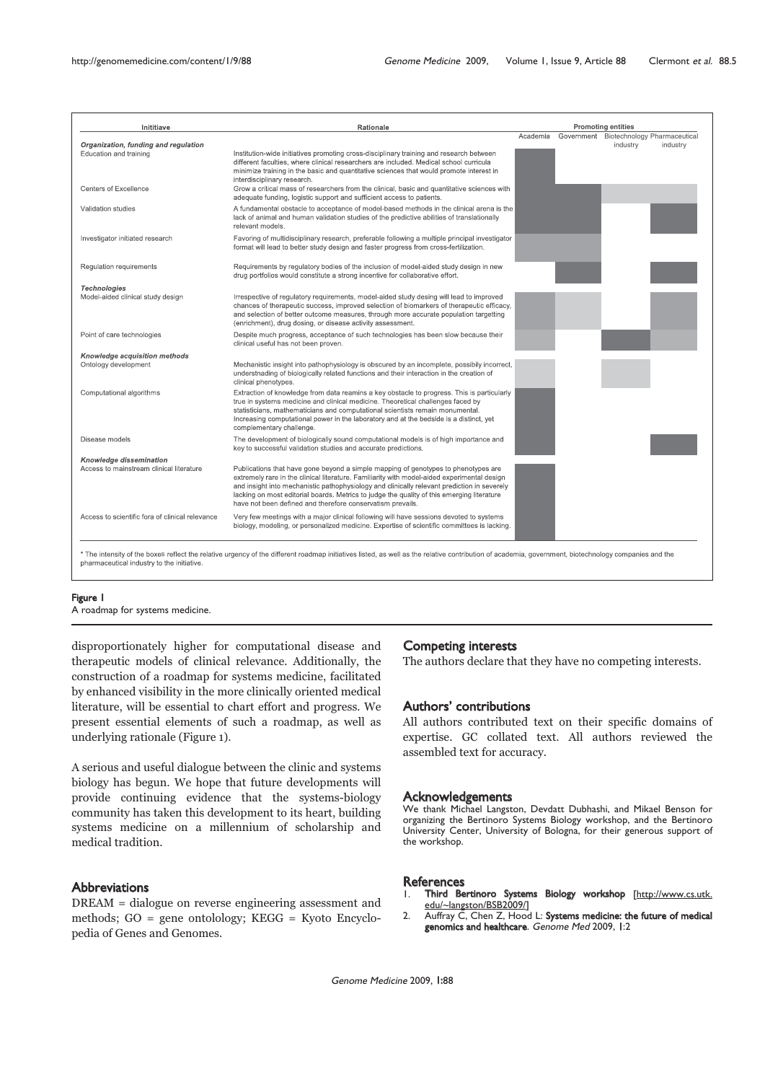| Inititiave                                                          | <b>Rationale</b>                                                                                                                                                                                                                                                                                                                                                                                                                             | <b>Promoting entities</b> |  |                                                                 |
|---------------------------------------------------------------------|----------------------------------------------------------------------------------------------------------------------------------------------------------------------------------------------------------------------------------------------------------------------------------------------------------------------------------------------------------------------------------------------------------------------------------------------|---------------------------|--|-----------------------------------------------------------------|
| Organization, funding and regulation                                |                                                                                                                                                                                                                                                                                                                                                                                                                                              | Academia                  |  | Government Biotechnology Pharmaceutical<br>industry<br>industry |
| Education and training                                              | Institution-wide initiatives promoting cross-disciplinary training and research between<br>different faculties, where clinical researchers are included. Medical school curricula<br>minimize training in the basic and quantitative sciences that would promote interest in<br>interdisciplinary research.                                                                                                                                  |                           |  |                                                                 |
| <b>Centers of Excellence</b>                                        | Grow a critical mass of researchers from the clinical, basic and quantitative sciences with<br>adequate funding, logistic support and sufficient access to patients.                                                                                                                                                                                                                                                                         |                           |  |                                                                 |
| Validation studies                                                  | A fundamental obstacle to acceptance of model-based methods in the clinical arena is the<br>lack of animal and human validation studies of the predictive abilities of translationally<br>relevant models.                                                                                                                                                                                                                                   |                           |  |                                                                 |
| Investigator initiated research                                     | Favoring of multidisciplinary research, preferable following a multiple principal investigator<br>format will lead to better study design and faster progress from cross-fertilization.                                                                                                                                                                                                                                                      |                           |  |                                                                 |
| Regulation requirements                                             | Requirements by regulatory bodies of the inclusion of model-aided study design in new<br>drug portfolios would constitute a strong incentive for collaborative effort.                                                                                                                                                                                                                                                                       |                           |  |                                                                 |
| <b>Technologies</b><br>Model-aided clinical study design            | Irrespective of regulatory requirements, model-aided study desing will lead to improved<br>chances of therapeutic success, improved selection of biomarkers of therapeutic efficacy,<br>and selection of better outcome measures, through more accurate population targetting<br>(enrichment), drug dosing, or disease activity assessment.                                                                                                  |                           |  |                                                                 |
| Point of care technologies                                          | Despite much progress, acceptance of such technologies has been slow because their<br>clinical useful has not been proven.                                                                                                                                                                                                                                                                                                                   |                           |  |                                                                 |
| Knowledge acquisition methods                                       |                                                                                                                                                                                                                                                                                                                                                                                                                                              |                           |  |                                                                 |
| Ontology development                                                | Mechanistic insight into pathophysiology is obscured by an incomplete, possibily incorrect,<br>understnading of biologically related functions and their interaction in the creation of<br>clinical phenotypes.                                                                                                                                                                                                                              |                           |  |                                                                 |
| Computational algorithms                                            | Extraction of knowledge from data reamins a key obstacle to progress. This is particularly<br>true in systems medicine and clinical medicine. Theoretical challenges faced by<br>statisticians, mathematicians and computational scientists remain monumental.<br>Increasing computational power in the laboratory and at the bedside is a distinct, yet<br>complementary challenge.                                                         |                           |  |                                                                 |
| Disease models                                                      | The development of biologically sound computational models is of high importance and<br>key to successful validation studies and accurate predictions.                                                                                                                                                                                                                                                                                       |                           |  |                                                                 |
| Knowledge dissemination<br>Access to mainstream clinical literature | Publications that have gone beyond a simple mapping of genotypes to phenotypes are<br>extremely rare in the clinical literature. Familiarity with model-aided experimental design<br>and insight into mechanistic pathophysiology and clinically relevant prediction in severely<br>lacking on most editorial boards. Metrics to judge the quality of this emerging literature<br>have not been defined and therefore conservatism prevails. |                           |  |                                                                 |
| Access to scientific fora of clinical relevance                     | Very few meetings with a major clinical following will have sessions devoted to systems<br>biology, modeling, or personalized medicine. Expertise of scientific committees is lacking.                                                                                                                                                                                                                                                       |                           |  |                                                                 |

# Figure 1

A roadmap for systems medicine.

disproportionately higher for computational disease and therapeutic models of clinical relevance. Additionally, the construction of a roadmap for systems medicine, facilitated by enhanced visibility in the more clinically oriented medical literature, will be essential to chart effort and progress. We present essential elements of such a roadmap, as well as underlying rationale (Figure 1).

A serious and useful dialogue between the clinic and systems biology has begun. We hope that future developments will provide continuing evidence that the systems-biology community has taken this development to its heart, building systems medicine on a millennium of scholarship and medical tradition.

# Abbreviations

DREAM = dialogue on reverse engineering assessment and methods; GO = gene ontolology; KEGG = Kyoto Encyclopedia of Genes and Genomes.

#### Competing interests

The authors declare that they have no competing interests.

#### Authors' contributions

All authors contributed text on their specific domains of expertise. GC collated text. All authors reviewed the assembled text for accuracy.

### **Acknowledgements**

We thank Michael Langston, Devdatt Dubhashi, and Mikael Benson for organizing the Bertinoro Systems Biology workshop, and the Bertinoro University Center, University of Bologna, for their generous support of the workshop.

#### **References**

- Third Bertinoro Systems Biology workshop [http://www.cs.utk. edu/~langston/BSB2009/]
- 2. Auffray C, Chen Z, Hood L: Systems medicine: the future of medical genomics and healthcare. Genome Med 2009, 1:2